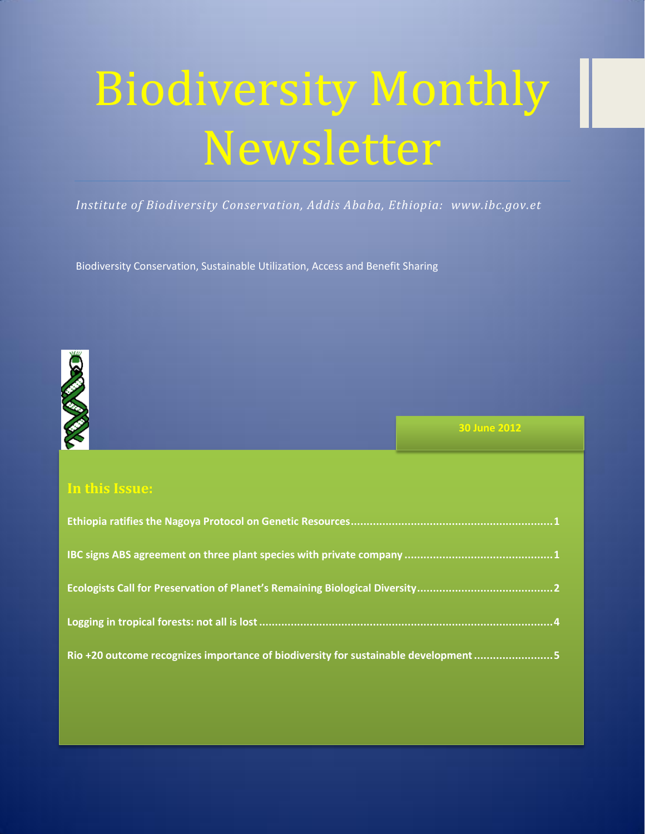# Biodiversity Monthly Newsletter

*Institute of Biodiversity Conservation, Addis Ababa, Ethiopia: www.ibc.gov.et*

Biodiversity Conservation, Sustainable Utilization, Access and Benefit Sharing



**30 June 2012**

# **In this Issue:**

| Rio +20 outcome recognizes importance of biodiversity for sustainable development5 |
|------------------------------------------------------------------------------------|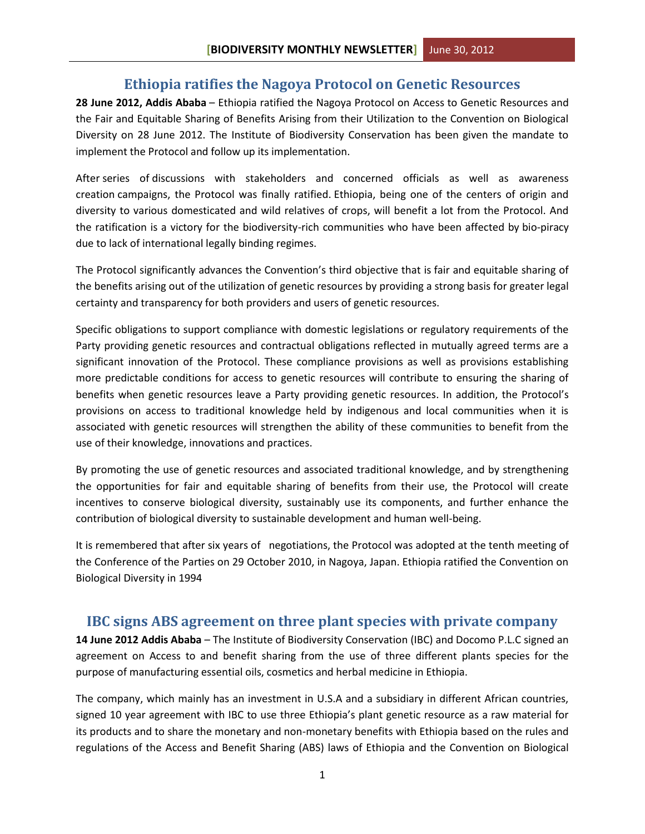### **Ethiopia ratifies the Nagoya Protocol on Genetic Resources**

<span id="page-1-0"></span>**28 June 2012, Addis Ababa** – Ethiopia ratified the Nagoya Protocol on Access to Genetic Resources and the Fair and Equitable Sharing of Benefits Arising from their Utilization to the Convention on Biological Diversity on 28 June 2012. The Institute of Biodiversity Conservation has been given the mandate to implement the Protocol and follow up its implementation.

After series of discussions with stakeholders and concerned officials as well as awareness creation campaigns, the Protocol was finally ratified. Ethiopia, being one of the centers of origin and diversity to various domesticated and wild relatives of crops, will benefit a lot from the Protocol. And the ratification is a victory for the biodiversity-rich communities who have been affected by bio-piracy due to lack of international legally binding regimes.

The Protocol significantly advances the Convention's third objective that is fair and equitable sharing of the benefits arising out of the utilization of genetic resources by providing a strong basis for greater legal certainty and transparency for both providers and users of genetic resources.

Specific obligations to support compliance with domestic legislations or regulatory requirements of the Party providing genetic resources and contractual obligations reflected in mutually agreed terms are a significant innovation of the Protocol. These compliance provisions as well as provisions establishing more predictable conditions for access to genetic resources will contribute to ensuring the sharing of benefits when genetic resources leave a Party providing genetic resources. In addition, the Protocol's provisions on access to traditional knowledge held by indigenous and local communities when it is associated with genetic resources will strengthen the ability of these communities to benefit from the use of their knowledge, innovations and practices.

By promoting the use of genetic resources and associated traditional knowledge, and by strengthening the opportunities for fair and equitable sharing of benefits from their use, the Protocol will create incentives to conserve biological diversity, sustainably use its components, and further enhance the contribution of biological diversity to sustainable development and human well-being.

It is remembered that after six years of negotiations, the Protocol was adopted at the tenth meeting of the Conference of the Parties on 29 October 2010, in Nagoya, Japan. Ethiopia ratified the Convention on Biological Diversity in 1994

## <span id="page-1-1"></span>**IBC signs ABS agreement on three plant species with private company**

**14 June 2012 Addis Ababa** – The Institute of Biodiversity Conservation (IBC) and Docomo P.L.C signed an agreement on Access to and benefit sharing from the use of three different plants species for the purpose of manufacturing essential oils, cosmetics and herbal medicine in Ethiopia.

The company, which mainly has an investment in U.S.A and a subsidiary in different African countries, signed 10 year agreement with IBC to use three Ethiopia's plant genetic resource as a raw material for its products and to share the monetary and non-monetary benefits with Ethiopia based on the rules and regulations of the Access and Benefit Sharing (ABS) laws of Ethiopia and the Convention on Biological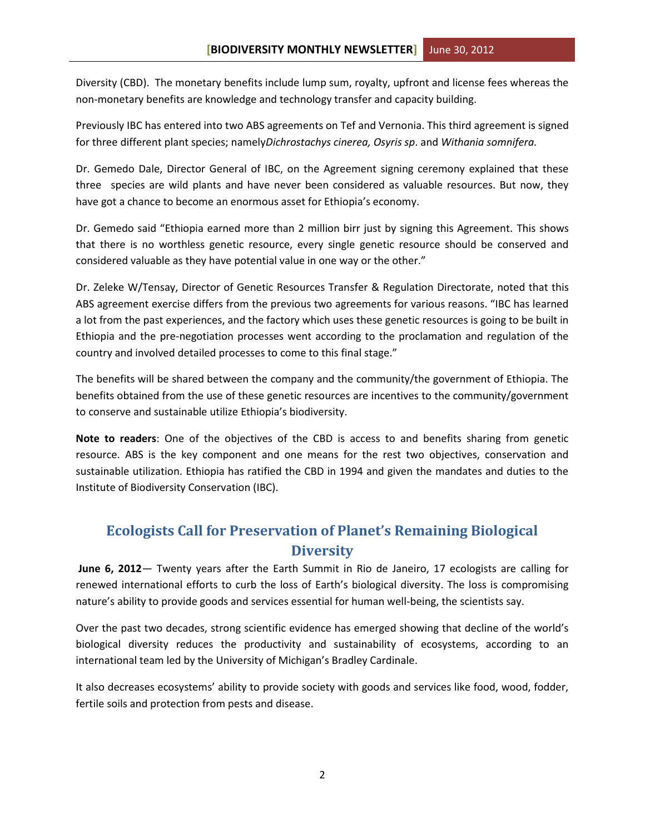Diversity (CBD). The monetary benefits include lump sum, royalty, upfront and license fees whereas the non-monetary benefits are knowledge and technology transfer and capacity building.

Previously IBC has entered into two ABS agreements on Tef and Vernonia. This third agreement is signed for three different plant species; namely*Dichrostachys cinerea, Osyris sp*. and *Withania somnifera.*

Dr. Gemedo Dale, Director General of IBC, on the Agreement signing ceremony explained that these three species are wild plants and have never been considered as valuable resources. But now, they have got a chance to become an enormous asset for Ethiopia's economy.

Dr. Gemedo said "Ethiopia earned more than 2 million birr just by signing this Agreement. This shows that there is no worthless genetic resource, every single genetic resource should be conserved and considered valuable as they have potential value in one way or the other."

Dr. Zeleke W/Tensay, Director of Genetic Resources Transfer & Regulation Directorate, noted that this ABS agreement exercise differs from the previous two agreements for various reasons. "IBC has learned a lot from the past experiences, and the factory which uses these genetic resources is going to be built in Ethiopia and the pre-negotiation processes went according to the proclamation and regulation of the country and involved detailed processes to come to this final stage."

The benefits will be shared between the company and the community/the government of Ethiopia. The benefits obtained from the use of these genetic resources are incentives to the community/government to conserve and sustainable utilize Ethiopia's biodiversity.

**Note to readers**: One of the objectives of the CBD is access to and benefits sharing from genetic resource. ABS is the key component and one means for the rest two objectives, conservation and sustainable utilization. Ethiopia has ratified the CBD in 1994 and given the mandates and duties to the Institute of Biodiversity Conservation (IBC).

# <span id="page-2-0"></span>**Ecologists Call for Preservation of Planet's Remaining Biological Diversity**

**June 6, 2012**— Twenty years after the Earth Summit in Rio de Janeiro, 17 ecologists are calling for renewed international efforts to curb the loss of Earth's biological diversity. The loss is compromising nature's ability to provide goods and services essential for human well-being, the scientists say.

Over the past two decades, strong scientific evidence has emerged showing that decline of the world's biological diversity reduces the productivity and sustainability of ecosystems, according to an international team led by the University of Michigan's Bradley Cardinale.

It also decreases ecosystems' ability to provide society with goods and services like food, wood, fodder, fertile soils and protection from pests and disease.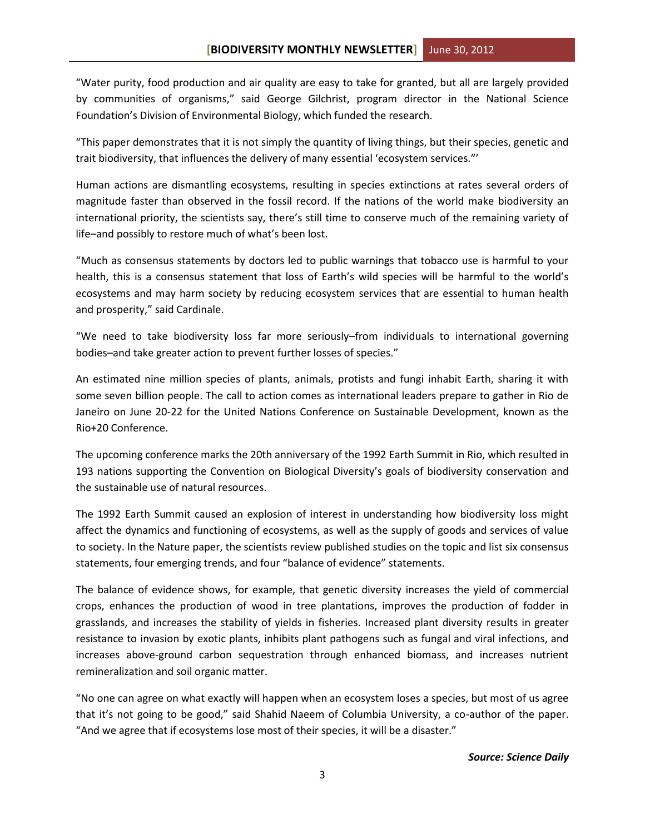"Water purity, food production and air quality are easy to take for granted, but all are largely provided by communities of organisms," said George Gilchrist, program director in the National Science Foundation's Division of Environmental Biology, which funded the research.

"This paper demonstrates that it is not simply the quantity of living things, but their species, genetic and trait biodiversity, that influences the delivery of many essential 'ecosystem services."'

Human actions are dismantling ecosystems, resulting in species extinctions at rates several orders of magnitude faster than observed in the fossil record. If the nations of the world make biodiversity an international priority, the scientists say, there's still time to conserve much of the remaining variety of life–and possibly to restore much of what's been lost.

"Much as consensus statements by doctors led to public warnings that tobacco use is harmful to your health, this is a consensus statement that loss of Earth's wild species will be harmful to the world's ecosystems and may harm society by reducing ecosystem services that are essential to human health and prosperity," said Cardinale.

"We need to take biodiversity loss far more seriously–from individuals to international governing bodies–and take greater action to prevent further losses of species."

An estimated nine million species of plants, animals, protists and fungi inhabit Earth, sharing it with some seven billion people. The call to action comes as international leaders prepare to gather in Rio de Janeiro on June 20-22 for the United Nations Conference on Sustainable Development, known as the Rio+20 Conference.

The upcoming conference marks the 20th anniversary of the 1992 Earth Summit in Rio, which resulted in 193 nations supporting the Convention on Biological Diversity's goals of biodiversity conservation and the sustainable use of natural resources.

The 1992 Earth Summit caused an explosion of interest in understanding how biodiversity loss might affect the dynamics and functioning of ecosystems, as well as the supply of goods and services of value to society. In the Nature paper, the scientists review published studies on the topic and list six consensus statements, four emerging trends, and four "balance of evidence" statements.

The balance of evidence shows, for example, that genetic diversity increases the yield of commercial crops, enhances the production of wood in tree plantations, improves the production of fodder in grasslands, and increases the stability of yields in fisheries. Increased plant diversity results in greater resistance to invasion by exotic plants, inhibits plant pathogens such as fungal and viral infections, and increases above-ground carbon sequestration through enhanced biomass, and increases nutrient remineralization and soil organic matter.

"No one can agree on what exactly will happen when an ecosystem loses a species, but most of us agree that it's not going to be good," said Shahid Naeem of Columbia University, a co-author of the paper. "And we agree that if ecosystems lose most of their species, it will be a disaster."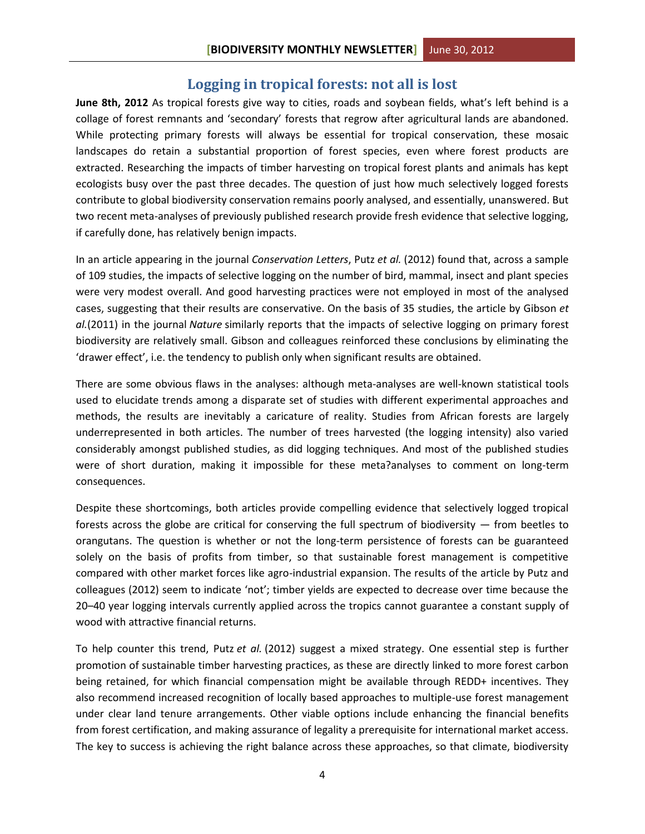### **Logging in tropical forests: not all is lost**

<span id="page-4-0"></span>**June 8th, 2012** As tropical forests give way to cities, roads and soybean fields, what's left behind is a collage of forest remnants and 'secondary' forests that regrow after agricultural lands are abandoned. While protecting primary forests will always be essential for tropical conservation, these mosaic landscapes do retain a substantial proportion of forest species, even where forest products are extracted. Researching the impacts of timber harvesting on tropical forest plants and animals has kept ecologists busy over the past three decades. The question of just how much selectively logged forests contribute to global biodiversity conservation remains poorly analysed, and essentially, unanswered. But two recent meta-analyses of previously published research provide fresh evidence that selective logging, if carefully done, has relatively benign impacts.

In an article appearing in the journal *Conservation Letters*, Putz *et al.* (2012) found that, across a sample of 109 studies, the impacts of selective logging on the number of bird, mammal, insect and plant species were very modest overall. And good harvesting practices were not employed in most of the analysed cases, suggesting that their results are conservative. On the basis of 35 studies, the article by Gibson *et al.*(2011) in the journal *Nature* similarly reports that the impacts of selective logging on primary forest biodiversity are relatively small. Gibson and colleagues reinforced these conclusions by eliminating the 'drawer effect', i.e. the tendency to publish only when significant results are obtained.

There are some obvious flaws in the analyses: although meta-analyses are well-known statistical tools used to elucidate trends among a disparate set of studies with different experimental approaches and methods, the results are inevitably a caricature of reality. Studies from African forests are largely underrepresented in both articles. The number of trees harvested (the logging intensity) also varied considerably amongst published studies, as did logging techniques. And most of the published studies were of short duration, making it impossible for these meta?analyses to comment on long-term consequences.

Despite these shortcomings, both articles provide compelling evidence that selectively logged tropical forests across the globe are critical for conserving the full spectrum of biodiversity — from beetles to orangutans. The question is whether or not the long-term persistence of forests can be guaranteed solely on the basis of profits from timber, so that sustainable forest management is competitive compared with other market forces like agro-industrial expansion. The results of the article by Putz and colleagues (2012) seem to indicate 'not'; timber yields are expected to decrease over time because the 20–40 year logging intervals currently applied across the tropics cannot guarantee a constant supply of wood with attractive financial returns.

To help counter this trend, Putz *et al.* (2012) suggest a mixed strategy. One essential step is further promotion of sustainable timber harvesting practices, as these are directly linked to more forest carbon being retained, for which financial compensation might be available through REDD+ incentives. They also recommend increased recognition of locally based approaches to multiple-use forest management under clear land tenure arrangements. Other viable options include enhancing the financial benefits from forest certification, and making assurance of legality a prerequisite for international market access. The key to success is achieving the right balance across these approaches, so that climate, biodiversity